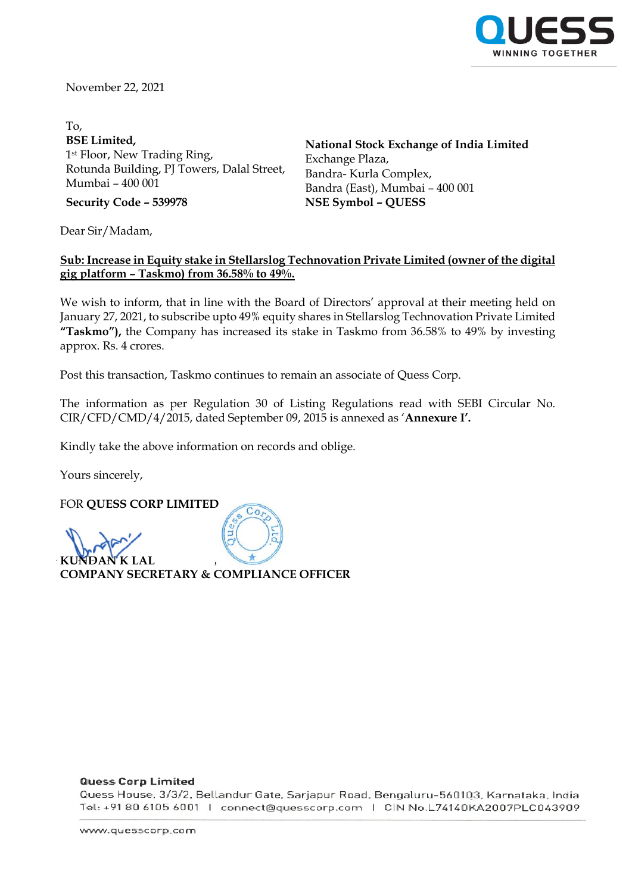

November 22, 2021

To, **BSE Limited,** 1st Floor, New Trading Ring, Rotunda Building, PJ Towers, Dalal Street, Mumbai – 400 001

**National Stock Exchange of India Limited** Exchange Plaza, Bandra- Kurla Complex, Bandra (East), Mumbai – 400 001 **Security Code – 539978 NSE Symbol – QUESS**

Dear Sir/Madam,

## **Sub: Increase in Equity stake in Stellarslog Technovation Private Limited (owner of the digital gig platform – Taskmo) from 36.58% to 49%.**

We wish to inform, that in line with the Board of Directors' approval at their meeting held on January 27, 2021, to subscribe upto 49% equity shares in Stellarslog Technovation Private Limited **"Taskmo"),** the Company has increased its stake in Taskmo from 36.58% to 49% by investing approx. Rs. 4 crores.

Post this transaction, Taskmo continues to remain an associate of Quess Corp.

The information as per Regulation 30 of Listing Regulations read with SEBI Circular No. CIR/CFD/CMD/4/2015, dated September 09, 2015 is annexed as '**Annexure I'.**

Kindly take the above information on records and oblige.

Yours sincerely,

FOR **QUESS CORP LIMITED**

 $KIM$ **COMPANY SECRETARY & COMPLIANCE OFFICER**

#### **Quess Corp Limited**

Quess House, 3/3/2, Bellandur Gate, Sarjapur Road, Bengaluru-560103, Karnataka, India Tel: +91 80 6105 6001 | connect@quesscorp.com | CIN No.L74140KA2007PLC043909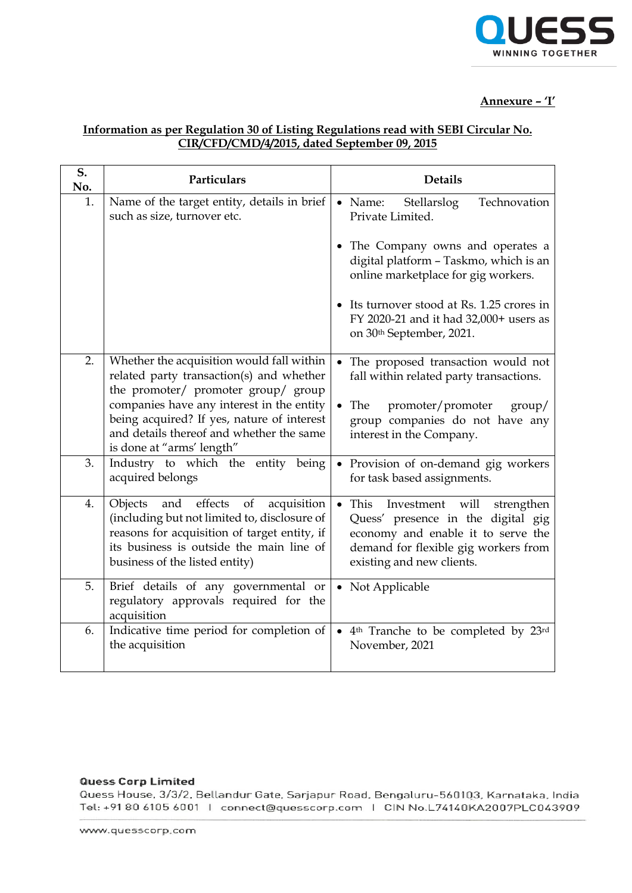

## **Annexure – 'I'**

# **Information as per Regulation 30 of Listing Regulations read with SEBI Circular No. CIR/CFD/CMD/4/2015, dated September 09, 2015**

| S.<br>No. | Particulars                                                                                                                                                                                                                  | <b>Details</b>                                                                                                                                                                                      |
|-----------|------------------------------------------------------------------------------------------------------------------------------------------------------------------------------------------------------------------------------|-----------------------------------------------------------------------------------------------------------------------------------------------------------------------------------------------------|
| 1.        | Name of the target entity, details in brief<br>such as size, turnover etc.                                                                                                                                                   | Technovation<br>$\bullet$ Name:<br>Stellarslog<br>Private Limited.                                                                                                                                  |
|           |                                                                                                                                                                                                                              | • The Company owns and operates a<br>digital platform - Taskmo, which is an<br>online marketplace for gig workers.                                                                                  |
|           |                                                                                                                                                                                                                              | • Its turnover stood at Rs. 1.25 crores in<br>FY 2020-21 and it had 32,000+ users as<br>on 30th September, 2021.                                                                                    |
| 2.        | Whether the acquisition would fall within<br>related party transaction(s) and whether<br>the promoter/ promoter group/ group                                                                                                 | The proposed transaction would not<br>fall within related party transactions.                                                                                                                       |
|           | companies have any interest in the entity<br>being acquired? If yes, nature of interest<br>and details thereof and whether the same<br>is done at "arms' length"                                                             | • The promoter/promoter<br>$\text{group}/$<br>group companies do not have any<br>interest in the Company.                                                                                           |
| 3.        | Industry to which the entity<br>being<br>acquired belongs                                                                                                                                                                    | • Provision of on-demand gig workers<br>for task based assignments.                                                                                                                                 |
| 4.        | effects<br>Objects<br>and<br>of<br>acquisition<br>(including but not limited to, disclosure of<br>reasons for acquisition of target entity, if<br>its business is outside the main line of<br>business of the listed entity) | $\bullet$ This<br>Investment<br>will<br>strengthen<br>Quess' presence in the digital gig<br>economy and enable it to serve the<br>demand for flexible gig workers from<br>existing and new clients. |
| 5.        | Brief details of any governmental or<br>regulatory approvals required for the<br>acquisition                                                                                                                                 | • Not Applicable                                                                                                                                                                                    |
| 6.        | Indicative time period for completion of<br>the acquisition                                                                                                                                                                  | • 4 <sup>th</sup> Tranche to be completed by 23 <sup>rd</sup><br>November, 2021                                                                                                                     |

### **Quess Corp Limited**

Quess House, 3/3/2, Bellandur Gate, Sarjapur Road, Bengaluru-560103, Karnataka, India Tel: +91 80 6105 6001 | connect@quesscorp.com | CIN No.L74140KA2007PLC043909